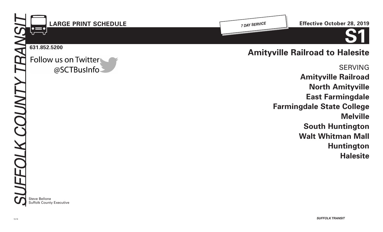

**Amityville Railroad North Amityville East Farmingdale Farmingdale State College Melville South Huntington Walt Whitman Mall Huntington Halesite**

Steve Bellone Suffolk County Executive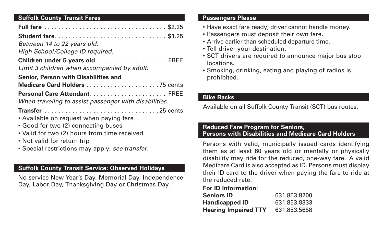# **Suffolk County Transit Fares**

| <b>Student fare \$1.25</b>                            |
|-------------------------------------------------------|
| Between 14 to 22 years old.                           |
| High School/College ID required.                      |
| Limit 3 children when accompanied by adult.           |
| <b>Senior, Person with Disabilities and</b>           |
|                                                       |
|                                                       |
| When traveling to assist passenger with disabilities. |
|                                                       |
| • Available on request when paying fare               |
| • Good for two (2) connecting buses                   |
| • Valid for two (2) hours from time received          |
| • Not valid for return trip                           |
| • Special restrictions may apply, see transfer.       |

## **Suffolk County Transit Service: Observed Holidays**

No service New Year's Day, Memorial Day, Independence Day, Labor Day, Thanksgiving Day or Christmas Day.

#### **Passengers Please**

- Have exact fare ready; driver cannot handle money.
- Passengers must deposit their own fare.
- Arrive earlier than scheduled departure time.
- Tell driver your destination.
- SCT drivers are required to announce major bus stop locations.
- Smoking, drinking, eating and playing of radios is prohibited.

# **Bike Racks**

Available on all Suffolk County Transit (SCT) bus routes.

## **Reduced Fare Program for Seniors, Persons with Disabilities and Medicare Card Holders**

Persons with valid, municipally issued cards identifying them as at least 60 years old or mentally or physically disability may ride for the reduced, one-way fare. A valid Medicare Card is also accepted as ID. Persons must display their ID card to the driver when paying the fare to ride at the reduced rate.

# **For ID information:**

| <b>Seniors ID</b>           | 631.853.8200 |
|-----------------------------|--------------|
| <b>Handicapped ID</b>       | 631.853.8333 |
| <b>Hearing Impaired TTY</b> | 631.853.5658 |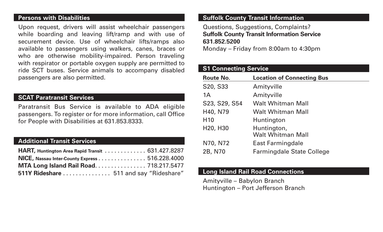#### **Persons with Disabilities**

Upon request, drivers will assist wheelchair passengers while boarding and leaving lift/ramp and with use of securement device. Use of wheelchair lifts/ramps also available to passengers using walkers, canes, braces or who are otherwise mobility-impaired. Person traveling with respirator or portable oxygen supply are permitted to ride SCT buses. Service animals to accompany disabled passengers are also permitted.

### **SCAT Paratransit Services**

Paratransit Bus Service is available to ADA eligible passengers. To register or for more information, call Office for People with Disabilities at 631.853.8333.

## **Additional Transit Services**

| <b>HART, Huntington Area Rapid Transit  631.427.8287</b> |  |
|----------------------------------------------------------|--|
| NICE, Nassau Inter-County Express 516.228.4000           |  |
| MTA Long Island Rail Road 718.217.5477                   |  |
| 511Y Rideshare  511 and say "Rideshare"                  |  |

### **Suffolk County Transit Information**

Questions, Suggestions, Complaints? **Suffolk County Transit Information Service 631.852.5200**

Monday – Friday from 8:00am to 4:30pm

## **S1 Connecting Service**

| <b>Route No.</b>                  | <b>Location of Connecting Bus</b>       |
|-----------------------------------|-----------------------------------------|
| S20, S33                          | Amityville                              |
| 1A                                | Amityville                              |
| S23, S29, S54                     | <b>Walt Whitman Mall</b>                |
| H40, N79                          | Walt Whitman Mall                       |
| H <sub>10</sub>                   | Huntington                              |
| H <sub>20</sub> , H <sub>30</sub> | Huntington,<br><b>Walt Whitman Mall</b> |
| N70, N72                          | East Farmingdale                        |
| 2B, N70                           | <b>Farmingdale State College</b>        |

#### **Long Island Rail Road Connections**

Amityville – Babylon Branch Huntington – Port Jefferson Branch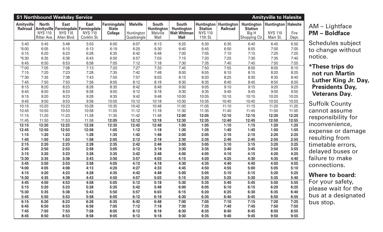| <b>S1 Northbound Weekday Service</b><br><b>Amityville to Halesite</b> |                                               |                                              |                                                                                                   |                                               |                                             |                                                       |                                                                         |                                                                                |                 |                                                               |                                                            |               |
|-----------------------------------------------------------------------|-----------------------------------------------|----------------------------------------------|---------------------------------------------------------------------------------------------------|-----------------------------------------------|---------------------------------------------|-------------------------------------------------------|-------------------------------------------------------------------------|--------------------------------------------------------------------------------|-----------------|---------------------------------------------------------------|------------------------------------------------------------|---------------|
| <b>Amityville</b>                                                     | <b>North</b><br><b>NYS 110</b><br>Ritter Ave. | <b>East</b><br><b>NYS 110</b><br>Allen Blvd. | <b>East</b><br>Railroad   Amityville   Farmingdale   Farmingdale<br><b>NYS 110</b><br>Conklin St. | Farmingdale<br><b>State</b><br><b>College</b> | <b>Melville</b><br>Huntington<br>Quadrangle | <b>South</b><br><b>Huntington</b><br>Melville<br>Mall | <b>South</b><br><b>Huntington</b><br><b>Walt Whitman</b><br><b>Mall</b> | <b>Huntington   Huntington</b><br><b>Station</b><br><b>NYS 110</b><br>11th St. | <b>Railroad</b> | <b>Huntington</b><br><b>Station</b><br>Big H<br>Shopping Ctr. | <b>Huntington   Halesite</b><br><b>NYS 110</b><br>Main St. | Fire<br>Dept. |
| 5:40                                                                  | 5:45                                          | 5:48                                         | 5:53                                                                                              | 6:00                                          | 6:07                                        | 6:13                                                  | 6:25                                                                    | 6:30                                                                           | 6:35            | 6:40                                                          | 6:45                                                       | 6:50          |
| $*6:00$                                                               | 6:05                                          | 6:10                                         | 6:13                                                                                              | 6:19                                          | 6:25                                        | 6:30                                                  | 6:40                                                                    | 6:45                                                                           | 6:50            | 6:55                                                          | 7:00                                                       | 7:05          |
| 6:15                                                                  | 6:20                                          | 6:23                                         | 6:28                                                                                              | 6:35                                          | 6:42                                        | 6:48                                                  | 7:00                                                                    | 7:05                                                                           | 7:10            | 7:15                                                          | 7:20                                                       | 7:25          |
| $*6:30$                                                               | 6:35                                          | 6:38                                         | 6:43                                                                                              | 6:50                                          | 6:57                                        | 7:03                                                  | 7:15                                                                    | 7:20                                                                           | 7:25            | 7:30                                                          | 7:35                                                       | 7:40          |
| 6:45                                                                  | 6:50                                          | 6:53                                         | 6:58                                                                                              | 7:05                                          | 7:12                                        | 7:18                                                  | 7:30                                                                    | 7:35                                                                           | 7:40            | 7:45                                                          | 7:50                                                       | 7:55          |
| *7:00                                                                 | 7:05                                          | 7:08                                         | 7:13                                                                                              | 7:20                                          | 7:27                                        | 7:33                                                  | 7:45                                                                    | 7:50                                                                           | 7:55            | 8:00                                                          | 8:05                                                       | 8:10          |
| 7:15                                                                  | 7:20                                          | 7:23                                         | 7:28                                                                                              | 7:35                                          | 7:42                                        | 7:48                                                  | 8:00                                                                    | 8:05                                                                           | 8:10            | 8:15                                                          | 8:20                                                       | 8:25          |
| $*7:30$                                                               | 7:35                                          | 7:38                                         | 7:43                                                                                              | 7:50                                          | 7:57                                        | 8:03                                                  | 8:15                                                                    | 8:20                                                                           | 8:25            | 8:30                                                          | 8:35                                                       | 8:40          |
| 7:45                                                                  | 7:50                                          | 7:53                                         | 7:58                                                                                              | 8:05                                          | 8:12                                        | 8:18                                                  | 8:30                                                                    | 8:35                                                                           | 8:40            | 8:45                                                          | 8:50                                                       | 8:55          |
| 8:15                                                                  | 8:20                                          | 8:23                                         | 8:28                                                                                              | 8:35                                          | 8:42                                        | 8:48                                                  | 9:00                                                                    | 9:05                                                                           | 9:10            | 9:15                                                          | 9:20                                                       | 9:25          |
| 8:45                                                                  | 8:50                                          | 8:53                                         | 8:58                                                                                              | 9:05                                          | 9:12                                        | 9:18                                                  | 9:30                                                                    | 9:35                                                                           | 9:40            | 9:45                                                          | 9:50                                                       | 9:55          |
| 9:15                                                                  | 9:20                                          | 9:23                                         | 9:28                                                                                              | 9:35                                          | 9:42                                        | 9:48                                                  | 10:00                                                                   | 10:05                                                                          | 10:10           | 10:15                                                         | 10:20                                                      | 10:25         |
| 9:45                                                                  | 9:50                                          | 9:53                                         | 9:58                                                                                              | 10:05                                         | 10:12                                       | 10:18                                                 | 10:30                                                                   | 10:35                                                                          | 10:40           | 10:45                                                         | 10:50                                                      | 10:55         |
| 10:15                                                                 | 10:20                                         | 10:23                                        | 10:28                                                                                             | 10:35                                         | 10:42                                       | 10:48                                                 | 11:00                                                                   | 11:05                                                                          | 11:10           | 11:15                                                         | 11:20                                                      | 11:25         |
| 10:45                                                                 | 10:50                                         | 10:53                                        | 10:58                                                                                             | 11:05                                         | 11:12                                       | 11:18                                                 | 11:30                                                                   | 11:35                                                                          | 11:40           | 11:45                                                         | 11:50                                                      | 11:55         |
| 11:15                                                                 | 11:20                                         | 11:23                                        | 11:28                                                                                             | 11:35                                         | 11:42                                       | 11:48                                                 | 12:00                                                                   | 12:05                                                                          | 12:10           | 12:15                                                         | 12:20                                                      | 12:25         |
| 11:45                                                                 | 11:50                                         | 11:53                                        | 11:58                                                                                             | 12:05                                         | 12:12                                       | 12:18                                                 | 12:30                                                                   | 12:35                                                                          | 12:40           | 12:45                                                         | 12:50                                                      | 12:55         |
| 12:15                                                                 | 12:20                                         | 12:23                                        | 12:28                                                                                             | 12:35                                         | 12:42                                       | 12:48                                                 | 1:00                                                                    | 1:05                                                                           | 1:10            | 1:15                                                          | 1:20                                                       | 1:25          |
| 12:45                                                                 | 12:50                                         | 12:53                                        | 12:58                                                                                             | 1:05                                          | 1:12                                        | 1:18                                                  | 1:30                                                                    | 1:35                                                                           | 1:40            | 1:45                                                          | 1:50                                                       | 1:55          |
| 1:15                                                                  | 1:20                                          | 1:23                                         | 1:28                                                                                              | 1:35                                          | 1:42                                        | 1:48                                                  | 2:00                                                                    | 2:05                                                                           | 2:10            | 2:15                                                          | 2:20                                                       | 2:25          |
| 1:45                                                                  | 1:50                                          | 1:53                                         | 1:58                                                                                              | 2:05                                          | 2:12                                        | 2:18                                                  | 2:30                                                                    | 2:35                                                                           | 2:40            | 2:45                                                          | 2:50                                                       | 2:55          |
| 2:15                                                                  | 2:20                                          | 2:23                                         | 2:28                                                                                              | 2:35                                          | 2:42                                        | 2:48                                                  | 3:00                                                                    | 3:05                                                                           | 3:10            | 3:15                                                          | 3:20                                                       | 3:25          |
| 2:45                                                                  | 2:50                                          | 2:53                                         | 2:58                                                                                              | 3:05                                          | 3:12                                        | 3:18                                                  | 3:30                                                                    | 3:35                                                                           | 3:40            | 3:45                                                          | 3:50                                                       | 3:55          |
| 3:15                                                                  | 3:20                                          | 3:23                                         | 3:28                                                                                              | 3:35                                          | 3:42                                        | 3:48                                                  | 4:00                                                                    | 4:05                                                                           | 4:10            | 4:15                                                          | 4:20                                                       | 4:25          |
| $*3:30$                                                               | 3:35                                          | 3:38                                         | 3:43                                                                                              | 3:50                                          | 3:57                                        | 4:03                                                  | 4:15                                                                    | 4:20                                                                           | 4:25            | 4:30                                                          | 4:35                                                       | 4:40          |
| 3:45                                                                  | 3:50                                          | 3:53                                         | 3:58                                                                                              | 4:05                                          | 4:12                                        | 4:18                                                  | 4:30                                                                    | 4:35                                                                           | 4:40            | 4:45                                                          | 4:50                                                       | 4:55          |
| $*4:00$                                                               | 4:05                                          | 4:08                                         | 4:13                                                                                              | 4:20                                          | 4:27                                        | 4:33                                                  | 4:45                                                                    | 4:50                                                                           | 4:55            | 5:00                                                          | 5:05                                                       | 5:10          |
| 4:15                                                                  | 4:20<br>4:35                                  | 4:23                                         | 4:28                                                                                              | 4:35                                          | 4:42                                        | 4:48                                                  | 5:00                                                                    | 5:05                                                                           | 5:10            | 5:15                                                          | 5:20                                                       | 5:25          |
| $*4:30$                                                               |                                               | 4:38                                         | 4:43                                                                                              | 4:50                                          | 4:57                                        | 5:03                                                  | 5:15                                                                    | 5:20                                                                           | 5:25            | 5:30                                                          | 5:35                                                       | 5:40<br>5:55  |
| 4:45<br>5:15                                                          | 4:50<br>5:20                                  | 4:53<br>5:23                                 | 4:58<br>5:28                                                                                      | 5:05<br>5:35                                  | 5:12<br>5:42                                | 5:18<br>5:48                                          | 5:30<br>6:00                                                            | 5:35<br>6:05                                                                   | 5:40<br>6:10    | 5:45<br>6:15                                                  | 5:50                                                       | 6:25          |
| $*5:30$                                                               | 5:35                                          | 5:38                                         | 5:43                                                                                              | 5:50                                          | 5:57                                        | 6:03                                                  | 6:15                                                                    | 6:20                                                                           | 6:25            | 6:30                                                          | 6:20<br>6:35                                               | 6:40          |
| 5:45                                                                  | 5:50                                          | 5:53                                         | 5:58                                                                                              | 6:05                                          | 6:12                                        | 6:18                                                  | 6:30                                                                    | 6:35                                                                           | 6:40            | 6:45                                                          | 6:50                                                       | 6:55          |
| 6:15                                                                  | 6:20                                          | 6:23                                         | 6:28                                                                                              | 6:35                                          | 6:42                                        | 6:48                                                  | 7:00                                                                    | 7:05                                                                           | 7:10            | 7:15                                                          | 7:20                                                       | 7:25          |
| 6:45                                                                  | 6:50                                          | 6:53                                         | 6:58                                                                                              | 7:05                                          | 7:12                                        | 7:18                                                  | 7:30                                                                    | 7:35                                                                           | 7:40            | 7:45                                                          | 7:50                                                       | 7:55          |
| 7:45                                                                  | 7:50                                          | 7:53                                         | 7:58                                                                                              | 8:05                                          | 8:12                                        | 8:18                                                  | 8:30                                                                    | 8:35                                                                           | 8:40            | 8:45                                                          | 8:50                                                       | 8:55          |
| 8:45                                                                  | 8:50                                          | 8:53                                         | 8:58                                                                                              | 9:05                                          | 9:12                                        | 9:18                                                  | 9:30                                                                    | 9:35                                                                           | 9:40            | 9:45                                                          | 9:50                                                       | 9:55          |

## AM – Lightface **PM – Boldface**

Schedules subject to change without notice.

### **\*These trips do not run Martin Luther King Jr. Day, Presidents Day, Veterans Day.**

Suffolk County cannot assume responsibility for inconvenience, expense or damage resulting from timetable errors, delayed buses or failure to make connections.

#### **Where to board:**

For your safety, please wait for the bus at a designated bus stop.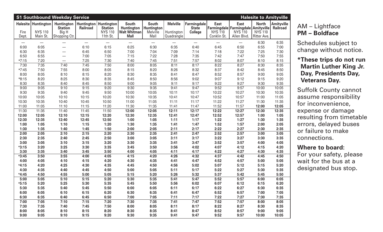|                                |                                          | <b>S1 Southbound Weekday Service</b>                                |                                  |                                                                   |                                                                         |                                                       |                                             |                                               |                                                                                          |                                              | <b>Halesite to Amityville</b>                 |                                      |
|--------------------------------|------------------------------------------|---------------------------------------------------------------------|----------------------------------|-------------------------------------------------------------------|-------------------------------------------------------------------------|-------------------------------------------------------|---------------------------------------------|-----------------------------------------------|------------------------------------------------------------------------------------------|----------------------------------------------|-----------------------------------------------|--------------------------------------|
| Halesite<br>Fire<br>Dept.      | Huntington<br><b>NYS 110</b><br>Main St. | Huntington   Huntington<br><b>Station</b><br>Big H<br>Shopping Ctr. | Railroad                         | <b>Huntington</b><br><b>Station</b><br><b>NYS 110</b><br>11th St. | <b>South</b><br><b>Huntington</b><br><b>Walt Whitman</b><br><b>Mall</b> | <b>South</b><br><b>Huntington</b><br>Melville<br>Mall | <b>Melville</b><br>Huntington<br>Quadrangle | Farmingdale<br><b>State</b><br><b>College</b> | <b>East</b><br>  Farmingdale   Farmingdale   Amityville<br><b>NYS 110</b><br>Conklin St. | <b>East</b><br><b>NYS 110</b><br>Allen Blvd. | <b>North</b><br><b>NYS 110</b><br>Ritter Ave. | <b>Amityville</b><br><b>Railroad</b> |
| $\qquad \qquad \longleftarrow$ | $\overline{\phantom{m}}$                 |                                                                     | $\overbrace{\phantom{12322111}}$ | $\overbrace{\phantom{12322111}}$                                  | $\overbrace{\phantom{12322111}}$                                        | $\overline{\phantom{m}}$                              | —                                           | $\overline{\phantom{m}}$                      | $\overbrace{\phantom{12322111}}$                                                         | $\overbrace{\phantom{12322111}}$             | 6:30                                          | 6:35                                 |
| 6:00                           | 6:05                                     |                                                                     | 6:10                             | 6:15                                                              | 6:25                                                                    | 6:30                                                  | 6:35                                        | 6:40                                          | 6:45                                                                                     | 6:50                                         | 6:55                                          | 7:00                                 |
| 6:30                           | 6:35                                     |                                                                     | 6:45                             | 6:50                                                              | 7:00                                                                    | 7:04                                                  | 7:09                                        | 7:14                                          | 7:18                                                                                     | 7:22                                         | 7:25                                          | 7:30                                 |
| 6:50                           | 6:55                                     | $\overline{\phantom{0}}$                                            | 7:00                             | 7:05                                                              | 7:15                                                                    | 7:22                                                  | 7:28                                        | 7:35                                          | 7:42                                                                                     | 7:47                                         | 7:50                                          | 7:55                                 |
| $*7:15$                        | 7:20                                     | $\overline{\phantom{0}}$                                            | 7:25                             | 7:30                                                              | 7:40                                                                    | 7:45                                                  | 7:51                                        | 7:57                                          | 8:02                                                                                     | 8:07                                         | 8:10                                          | 8:15                                 |
| 7:30                           | 7:35                                     | 7:40                                                                | 7:45                             | 7:50                                                              | 8:00                                                                    | 8:05                                                  | 8:11                                        | 8:17                                          | 8:22                                                                                     | 8:27                                         | 8:30                                          | 8:35                                 |
| $*7:45$                        | 7:50                                     | 7:55                                                                | 8:00                             | 8:05                                                              | 8:15                                                                    | 8:20                                                  | 8:26                                        | 8:32                                          | 8:37                                                                                     | 8:42                                         | 8:45                                          | 8:50                                 |
| 8:00                           | 8:05                                     | 8:10                                                                | 8:15                             | 8:20                                                              | 8:30                                                                    | 8:35                                                  | 8:41                                        | 8:47                                          | 8:52                                                                                     | 8:57                                         | 9:00                                          | 9:05                                 |
| $*8:15$                        | 8:20                                     | 8:25                                                                | 8:30                             | 8:35                                                              | 8:45                                                                    | 8:50                                                  | 8:56                                        | 9:02                                          | 9:07                                                                                     | 9:12                                         | 9:15                                          | 9:20                                 |
| 8:30                           | 8:35                                     | 8:40                                                                | 8:45                             | 8:50                                                              | 9:00                                                                    | 9:05                                                  | 9:11                                        | 9:17                                          | 9:22                                                                                     | 9:27                                         | 9:30                                          | 9:35                                 |
| 9:00                           | 9:05                                     | 9:10                                                                | 9:15                             | 9:20                                                              | 9:30                                                                    | 9:35                                                  | 9:41                                        | 9:47                                          | 9:52                                                                                     | 9:57                                         | 10:00                                         | 10:05                                |
| 9:30                           | 9:35                                     | 9:40                                                                | 9:45                             | 9:50                                                              | 10:00                                                                   | 10:05                                                 | 10:11                                       | 10:17                                         | 10:22                                                                                    | 10:27                                        | 10:30                                         | 10:35                                |
| 10:00                          | 10:05                                    | 10:10                                                               | 10:15                            | 10:20                                                             | 10:30                                                                   | 10:35                                                 | 10:41                                       | 10:47                                         | 10:52                                                                                    | 10:57                                        | 11:00                                         | 11:05                                |
| 10:30                          | 10:35                                    | 10:40                                                               | 10:45                            | 10:50                                                             | 11:00                                                                   | 11:05                                                 | 11:11                                       | 11:17                                         | 11:22                                                                                    | 11:27                                        | 11:30                                         | 11:35                                |
| 11:00                          | 11:05                                    | 11:10                                                               | 11:15                            | 11:20                                                             | 11:30                                                                   | 11:35                                                 | 11:41                                       | 11:47                                         | 11:52                                                                                    | 11:57                                        | 12:00                                         | 12:05                                |
| 11:30                          | 11:35                                    | 11:40                                                               | 11:45                            | 11:50                                                             | 12:00                                                                   | 12:05                                                 | 12:11                                       | 12:17                                         | 12:22                                                                                    | 12:27                                        | 12:30                                         | 12:35                                |
| 12:00                          | 12:05                                    | 12:10                                                               | 12:15                            | 12:20                                                             | 12:30                                                                   | 12:35                                                 | 12:41                                       | 12:47                                         | 12:52                                                                                    | 12:57                                        | 1:00                                          | 1:05                                 |
| 12:30                          | 12:35                                    | 12:40                                                               | 12:45                            | 12:50                                                             | 1:00                                                                    | 1:05                                                  | 1:11                                        | 1:17                                          | 1:22                                                                                     | 1:27                                         | 1:30                                          | 1:35                                 |
| 1:00                           | 1:05                                     | 1:10                                                                | 1:15                             | 1:20                                                              | 1:30                                                                    | 1:35                                                  | 1:41                                        | 1:47                                          | 1:52                                                                                     | 1:57                                         | 2:00                                          | 2:05                                 |
| 1:30                           | 1:35                                     | 1:40                                                                | 1:45                             | 1:50                                                              | 2:00                                                                    | 2:05                                                  | 2:11                                        | 2:17                                          | 2:22                                                                                     | 2:27                                         | 2:30                                          | 2:35                                 |
| 2:00                           | 2:05                                     | 2:10                                                                | 2:15                             | 2:20                                                              | 2:30                                                                    | 2:35                                                  | 2:41                                        | 2:47                                          | 2:52                                                                                     | 2:57                                         | 3:00                                          | 3:05                                 |
| 2:30                           | 2:35                                     | 2:40                                                                | 2:45                             | 2:50                                                              | 3:00                                                                    | 3:05                                                  | 3:11                                        | 3:17                                          | 3:22                                                                                     | 3:27                                         | 3:30                                          | 3:35                                 |
| 3:00                           | 3:05                                     | 3:10                                                                | 3:15                             | 3:20                                                              | 3:30                                                                    | 3:35                                                  | 3:41                                        | 3:47                                          | 3:52                                                                                     | 3:57                                         | 4:00                                          | 4:05                                 |
| $*3:15$                        | 3:20                                     | 3:25                                                                | 3:30                             | 3:35                                                              | 3:45                                                                    | 3:50                                                  | 3:56                                        | 4:02                                          | 4:07                                                                                     | 4:12                                         | 4:15                                          | 4:20                                 |
| 3:30                           | 3:35                                     | 3:40                                                                | 3:45                             | 3:50                                                              | 4:00                                                                    | 4:05                                                  | 4:11                                        | 4:17                                          | 4:22                                                                                     | 4:27                                         | 4:30                                          | 4:35                                 |
| $*3:45$                        | 3:50                                     | 3:55                                                                | 4:00                             | 4:05                                                              | 4:15                                                                    | 4:20                                                  | 4:26                                        | 4:32                                          | 4:37                                                                                     | 4:42                                         | 4:45                                          | 4:50                                 |
| 4:00                           | 4:05                                     | 4:10                                                                | 4:15                             | 4:20                                                              | 4:30                                                                    | 4:35                                                  | 4:41                                        | 4:47                                          | 4:52                                                                                     | 4:57                                         | 5:00                                          | 5:05                                 |
| $*4:15$                        | 4:20                                     | 4:25                                                                | 4:30                             | 4:35                                                              | 4:45                                                                    | 4:50                                                  | 4:56                                        | 5:02                                          | 5:07                                                                                     | 5:12                                         | 5:15                                          | 5:20                                 |
| 4:30                           | 4:35                                     | 4:40                                                                | 4:45                             | 4:50                                                              | 5:00                                                                    | 5:05                                                  | 5:11                                        | 5:17                                          | 5:22                                                                                     | 5:27                                         | 5:30                                          | 5:35                                 |
| $*4:45$                        | 4:50                                     | 4:55                                                                | 5:00                             | 5:05                                                              | 5:15                                                                    | 5:20                                                  | 5:26                                        | 5:32                                          | 5:37                                                                                     | 5:42                                         | 5:45                                          | 5:50                                 |
| 5:00                           | 5:05                                     | 5:10                                                                | 5:15                             | 5:20                                                              | 5:30                                                                    | 5:35                                                  | 5:41                                        | 5:47                                          | 5:52                                                                                     | 5:57                                         | 6:00                                          | 6:05                                 |
| $*5:15$                        | 5:20                                     | 5:25                                                                | 5:30                             | 5:35                                                              | 5:45                                                                    | 5:50                                                  | 5:56                                        | 6:02                                          | 6:07                                                                                     | 6:12                                         | 6:15                                          | 6:20                                 |
| 5:30                           | 5:35                                     | 5:40                                                                | 5:45                             | 5:50                                                              | 6:00                                                                    | 6:05                                                  | 6:11                                        | 6:17                                          | 6:22                                                                                     | 6:27                                         | 6:30                                          | 6:35                                 |
| 6:00                           | 6:05                                     | 6:10                                                                | 6:15                             | 6:20                                                              | 6:30                                                                    | 6:35                                                  | 6:41                                        | 6:47                                          | 6:52                                                                                     | 6:57                                         | 7:00                                          | 7:05                                 |
| 6:30                           | 6:35                                     | 6:40                                                                | 6:45                             | 6:50                                                              | 7:00                                                                    | 7:05                                                  | 7:11                                        | 7:17                                          | 7:22                                                                                     | 7:27                                         | 7:30                                          | 7:35                                 |
| 7:00                           | 7:05                                     | 7:10                                                                | 7:15                             | 7:20                                                              | 7:30                                                                    | 7:35                                                  | 7:41                                        | 7:47                                          | 7:52                                                                                     | 7:57                                         | 8:00                                          | 8:05                                 |
| 7:30                           | 7:35                                     | 7:40                                                                | 7:45                             | 7:50                                                              | 8:00                                                                    | 8:05                                                  | 8:11                                        | 8:17                                          | 8:22                                                                                     | 8:27                                         | 8:30                                          | 8:35                                 |
| 8:00                           | 8:05                                     | 8:10                                                                | 8:15                             | 8:20                                                              | 8:30                                                                    | 8:35                                                  | 8:41                                        | 8:47                                          | 8:52                                                                                     | 8:57                                         | 9:00                                          | 9:05                                 |
| 9:00                           | 9:05                                     | 9:10                                                                | 9:15                             | 9:20                                                              | 9:30                                                                    | 9:35                                                  | 9:41                                        | 9:47                                          | 9:52                                                                                     | 9:57                                         | 10:00                                         | 10:05                                |

### AM – Lightface **PM – Boldface**

Schedules subject to change without notice.

## **\*These trips do not run Martin Luther King Jr. Day, Presidents Day, Veterans Day.**

Suffolk County cannot assume responsibility for inconvenience, expense or damage resulting from timetable errors, delayed buses or failure to make connections.

#### **Where to board:**

For your safety, please wait for the bus at a designated bus stop.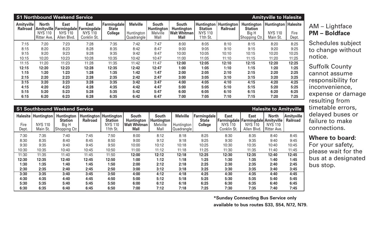|                                      | <b>S1 Northbound Weekend Service</b><br><b>Amityville to Halesite</b> |                                              |                                                                           |                                               |                                             |                                                |                                                                         |                                                            |                                |                                                               |                                                     |               |
|--------------------------------------|-----------------------------------------------------------------------|----------------------------------------------|---------------------------------------------------------------------------|-----------------------------------------------|---------------------------------------------|------------------------------------------------|-------------------------------------------------------------------------|------------------------------------------------------------|--------------------------------|---------------------------------------------------------------|-----------------------------------------------------|---------------|
| <b>Amityville</b><br><b>Railroad</b> | <b>North</b><br><b>Amityville</b><br><b>NYS 110</b><br>Ritter Ave.    | <b>East</b><br><b>NYS 110</b><br>Allen Blvd. | <b>East</b><br>Farmingdale   Farmingdale<br><b>NYS 110</b><br>Conklin St. | Farmingdale<br><b>State</b><br><b>College</b> | <b>Melville</b><br>Huntington<br>Quadrangle | <b>South</b><br>Huntington<br>Melville<br>Mall | <b>South</b><br><b>Huntington</b><br><b>Walt Whitman</b><br><b>Mall</b> | Huntington<br><b>Station</b><br><b>NYS 110</b><br>11th St. | Huntington'<br><b>Railroad</b> | <b>Huntington</b><br><b>Station</b><br>Big H<br>Shopping Ctr. | Huntington   Halesite<br><b>NYS 110</b><br>Main St. | Fire<br>Dept. |
| 7:15                                 | 7:20                                                                  | 7:23                                         | 7:28                                                                      | 7:35                                          | 7:42                                        | 7:47                                           | 8:00                                                                    | 8:05                                                       | 8:10                           | 8:15                                                          | 8:20                                                | 8:25          |
| 8:15                                 | 8:20                                                                  | 8:23                                         | 8:28                                                                      | 8:35                                          | 8:42                                        | 8:47                                           | 9:00                                                                    | 9:05                                                       | 9:10                           | 9:15                                                          | 9:20                                                | 9:25          |
| 9:15                                 | 9:20                                                                  | 9:23                                         | 9:28                                                                      | 9:35                                          | 9:42                                        | 9:47                                           | 10:00                                                                   | 10:05                                                      | 10:10                          | 10:15                                                         | 10:20                                               | 10:25         |
| 10:15                                | 10:20                                                                 | 10:23                                        | 10:28                                                                     | 10:35                                         | 10:42                                       | 10:47                                          | 11:00                                                                   | 11:05                                                      | 11:10                          | 11:15                                                         | 11:20                                               | 11:25         |
| 11:15                                | 11:20                                                                 | 11:23                                        | 11:28                                                                     | 11:35                                         | 11:42                                       | 11:47                                          | 12:00                                                                   | 12:05                                                      | 12:10                          | 12:15                                                         | 12:20                                               | 12:25         |
| 12:15                                | 12:20                                                                 | 12:23                                        | 12:28                                                                     | 12:35                                         | 12:42                                       | 12:47                                          | 1:00                                                                    | 1:05                                                       | 1:10                           | 1:15                                                          | 1:20                                                | 1:25          |
| 1:15                                 | 1:20                                                                  | 1:23                                         | 1:28                                                                      | 1:35                                          | 1:42                                        | 1:47                                           | 2:00                                                                    | 2:05                                                       | 2:10                           | 2:15                                                          | 2:20                                                | 2:25          |
| 2:15                                 | 2:20                                                                  | 2:23                                         | 2:28                                                                      | 2:35                                          | 2:42                                        | 2:47                                           | 3:00                                                                    | 3:05                                                       | 3:10                           | 3:15                                                          | 3:20                                                | 3:25          |
| 3:15                                 | 3:20                                                                  | 3:23                                         | 3:28                                                                      | 3:35                                          | 3:42                                        | 3:47                                           | 4:00                                                                    | 4:05                                                       | 4:10                           | 4:15                                                          | 4:20                                                | 4:25          |
| 4:15                                 | 4:20                                                                  | 4:23                                         | 4:28                                                                      | 4:35                                          | 4:42                                        | 4:47                                           | 5:00                                                                    | 5:05                                                       | 5:10                           | 5:15                                                          | 5:20                                                | 5:25          |
| 5:15                                 | 5:20                                                                  | 5:23                                         | 5:28                                                                      | 5:35                                          | 5:42                                        | 5:47                                           | 6:00                                                                    | 6:05                                                       | 6:10                           | 6:15                                                          | 6:20                                                | 6:25          |
| 6:15                                 | 6:20                                                                  | 6:23                                         | 6:28                                                                      | 6:35                                          | 6:42                                        | 6:47                                           | 7:00                                                                    | 7:05                                                       | 7:10                           | 7:15                                                          | 7:20                                                | 7:25          |

|                           | <b>S1 Southbound Weekend Service</b><br><b>Halesite to Amityville</b> |                                                               |          |                                                                                  |                                                                         |                                                       |                                                     |                                               |                                              |                                                                                               |                                               |                                      |
|---------------------------|-----------------------------------------------------------------------|---------------------------------------------------------------|----------|----------------------------------------------------------------------------------|-------------------------------------------------------------------------|-------------------------------------------------------|-----------------------------------------------------|-----------------------------------------------|----------------------------------------------|-----------------------------------------------------------------------------------------------|-----------------------------------------------|--------------------------------------|
| Halesite<br>Fire<br>Dept. | Huntington!<br><b>NYS 110</b><br>Main St.                             | <b>Huntington</b><br><b>Station</b><br>Big H<br>Shopping Ctr. | Railroad | <b>Huntington   Huntington  </b><br><b>Station</b><br><b>NYS 110</b><br>11th St. | <b>South</b><br><b>Huntington</b><br><b>Walt Whitman</b><br><b>Mall</b> | <b>South</b><br><b>Huntington</b><br>Melville<br>Mall | <b>Melville</b><br>Huntington<br><b>Quadrangle!</b> | Farmingdale<br><b>State</b><br><b>College</b> | <b>East</b><br><b>NYS 110</b><br>Conklin St. | <b>East</b><br><b>Farmingdale   Farmingdale   Amityville</b><br><b>NYS 110</b><br>Allen Blvd. | <b>North</b><br><b>NYS 110</b><br>Ritter Ave. | <b>Amityville</b><br><b>Railroad</b> |
|                           |                                                                       |                                                               |          |                                                                                  |                                                                         |                                                       |                                                     |                                               |                                              |                                                                                               |                                               |                                      |
| 7:30                      | 7:35                                                                  | 7:40                                                          | 7:45     | 7:50                                                                             | 8:00                                                                    | 8:12                                                  | 8:18                                                | 8:25                                          | 8:30                                         | 8:35                                                                                          | 8:40                                          | 8:45                                 |
| 8:30                      | 8:35                                                                  | 8:40                                                          | 8:45     | 8:50                                                                             | 9:00                                                                    | 9:12                                                  | 9:18                                                | 9:25                                          | 9:30                                         | 9:35                                                                                          | 9:40                                          | 9:45                                 |
| 9:30                      | 9:35                                                                  | 9:40                                                          | 9:45     | 9:50                                                                             | 10:00                                                                   | 10:12                                                 | 10:18                                               | 10:25                                         | 10:30                                        | 10:35                                                                                         | 10:40                                         | 10:45                                |
| 10:30                     | 10:35                                                                 | 10:40                                                         | 10:45    | 10:50                                                                            | 11:00                                                                   | 11:12                                                 | 11:18                                               | 11:25                                         | 11:30                                        | 11:35                                                                                         | 11:40                                         | 11:45                                |
| 11:30                     | 11:35                                                                 | 11:40                                                         | 11:45    | 11:50                                                                            | 12:00                                                                   | 12:12                                                 | 12:18                                               | 12:25                                         | 12:30                                        | 12:35                                                                                         | 12:40                                         | 12:45                                |
| 12:30                     | 12:35                                                                 | 12:40                                                         | 12:45    | 12:50                                                                            | 1:00                                                                    | 1:12                                                  | 1:18                                                | 1:25                                          | 1:30                                         | 1:35                                                                                          | 1:40                                          | 1:45                                 |
| 1:30                      | 1:35                                                                  | 1:40                                                          | 1:45     | 1:50                                                                             | 2:00                                                                    | 2:12                                                  | 2:18                                                | 2:25                                          | 2:30                                         | 2:35                                                                                          | 2:40                                          | 2:45                                 |
| 2:30                      | 2:35                                                                  | 2:40                                                          | 2:45     | 2:50                                                                             | 3:00                                                                    | 3:12                                                  | 3:18                                                | 3:25                                          | 3:30                                         | 3:35                                                                                          | 3:40                                          | 3:45                                 |
| 3:30                      | 3:35                                                                  | 3:40                                                          | 3:45     | 3:50                                                                             | 4:00                                                                    | 4:12                                                  | 4:18                                                | 4:25                                          | 4:30                                         | 4:35                                                                                          | 4:40                                          | 4:45                                 |
| 4:30                      | 4:35                                                                  | 4:40                                                          | 4:45     | 4:50                                                                             | 5:00                                                                    | 5:12                                                  | 5:18                                                | 5:25                                          | 5:30                                         | 5:35                                                                                          | 5:40                                          | 5:45                                 |
| 5:30                      | 5:35                                                                  | 5:40                                                          | 5:45     | 5:50                                                                             | 6:00                                                                    | 6:12                                                  | 6:18                                                | 6:25                                          | 6:30                                         | 6:35                                                                                          | 6:40                                          | 6:45                                 |
| 6:30                      | 6:35                                                                  | 6:40                                                          | 6:45     | 6:50                                                                             | 7:00                                                                    | 7:12                                                  | 7:18                                                | 7:25                                          | 7:30                                         | 7:35                                                                                          | 7:40                                          | 7:45                                 |

# AM – Lightface **PM – Boldface**

Schedules subject to change without notice.

Suffolk County cannot assume responsibility for inconvenience, expense or damage resulting from timetable errors, delayed buses or failure to make connections.

#### **Where to board:**

For your safety, please wait for the bus at a designated bus stop.

**\*Sunday Connecting Bus Service only available to bus routes S33, S54, N72, N79.**